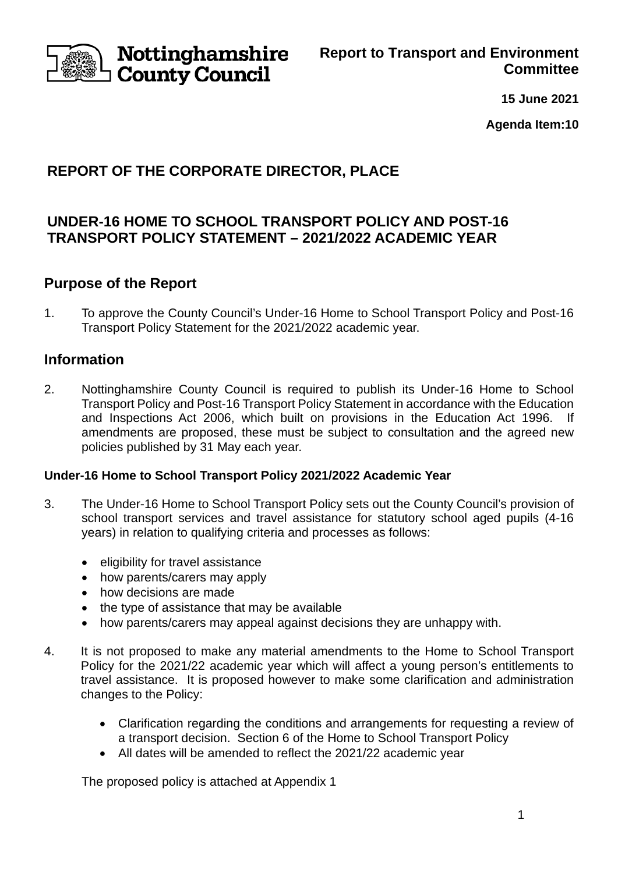

**Report to Transport and Environment Committee**

**15 June 2021**

**Agenda Item:10**

# **REPORT OF THE CORPORATE DIRECTOR, PLACE**

## **UNDER-16 HOME TO SCHOOL TRANSPORT POLICY AND POST-16 TRANSPORT POLICY STATEMENT – 2021/2022 ACADEMIC YEAR**

## **Purpose of the Report**

1. To approve the County Council's Under-16 Home to School Transport Policy and Post-16 Transport Policy Statement for the 2021/2022 academic year.

## **Information**

2. Nottinghamshire County Council is required to publish its Under-16 Home to School Transport Policy and Post-16 Transport Policy Statement in accordance with the Education and Inspections Act 2006, which built on provisions in the Education Act 1996. If amendments are proposed, these must be subject to consultation and the agreed new policies published by 31 May each year.

### **Under-16 Home to School Transport Policy 2021/2022 Academic Year**

- 3. The Under-16 Home to School Transport Policy sets out the County Council's provision of school transport services and travel assistance for statutory school aged pupils (4-16 years) in relation to qualifying criteria and processes as follows:
	- eligibility for travel assistance
	- how parents/carers may apply
	- how decisions are made
	- the type of assistance that may be available
	- how parents/carers may appeal against decisions they are unhappy with.
- 4. It is not proposed to make any material amendments to the Home to School Transport Policy for the 2021/22 academic year which will affect a young person's entitlements to travel assistance. It is proposed however to make some clarification and administration changes to the Policy:
	- Clarification regarding the conditions and arrangements for requesting a review of a transport decision. Section 6 of the Home to School Transport Policy
	- All dates will be amended to reflect the 2021/22 academic year

The proposed policy is attached at Appendix 1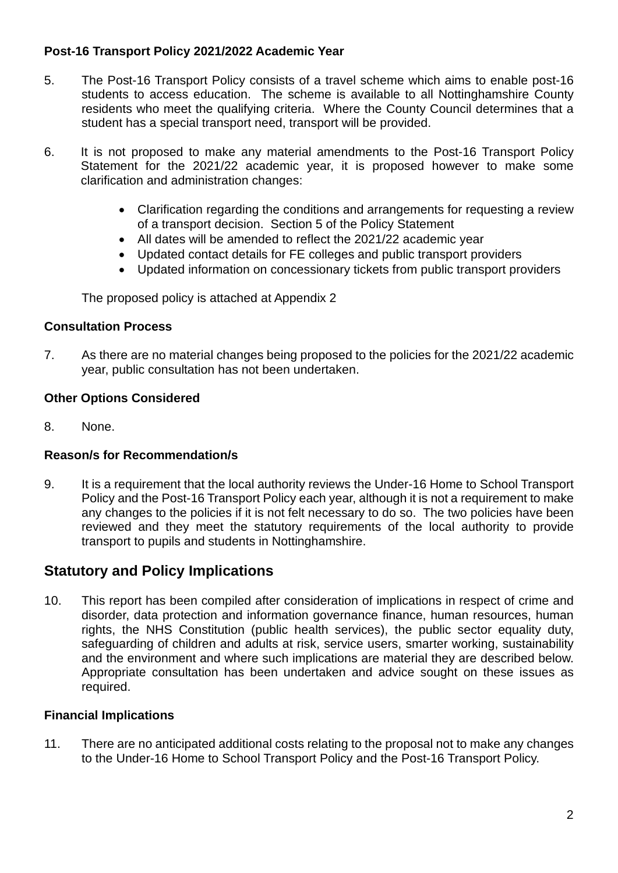### **Post-16 Transport Policy 2021/2022 Academic Year**

- 5. The Post-16 Transport Policy consists of a travel scheme which aims to enable post-16 students to access education. The scheme is available to all Nottinghamshire County residents who meet the qualifying criteria. Where the County Council determines that a student has a special transport need, transport will be provided.
- 6. It is not proposed to make any material amendments to the Post-16 Transport Policy Statement for the 2021/22 academic year, it is proposed however to make some clarification and administration changes:
	- Clarification regarding the conditions and arrangements for requesting a review of a transport decision. Section 5 of the Policy Statement
	- All dates will be amended to reflect the 2021/22 academic year
	- Updated contact details for FE colleges and public transport providers
	- Updated information on concessionary tickets from public transport providers

The proposed policy is attached at Appendix 2

#### **Consultation Process**

7. As there are no material changes being proposed to the policies for the 2021/22 academic year, public consultation has not been undertaken.

### **Other Options Considered**

8. None.

### **Reason/s for Recommendation/s**

9. It is a requirement that the local authority reviews the Under-16 Home to School Transport Policy and the Post-16 Transport Policy each year, although it is not a requirement to make any changes to the policies if it is not felt necessary to do so. The two policies have been reviewed and they meet the statutory requirements of the local authority to provide transport to pupils and students in Nottinghamshire.

## **Statutory and Policy Implications**

10. This report has been compiled after consideration of implications in respect of crime and disorder, data protection and information governance finance, human resources, human rights, the NHS Constitution (public health services), the public sector equality duty, safeguarding of children and adults at risk, service users, smarter working, sustainability and the environment and where such implications are material they are described below. Appropriate consultation has been undertaken and advice sought on these issues as required.

### **Financial Implications**

11. There are no anticipated additional costs relating to the proposal not to make any changes to the Under-16 Home to School Transport Policy and the Post-16 Transport Policy.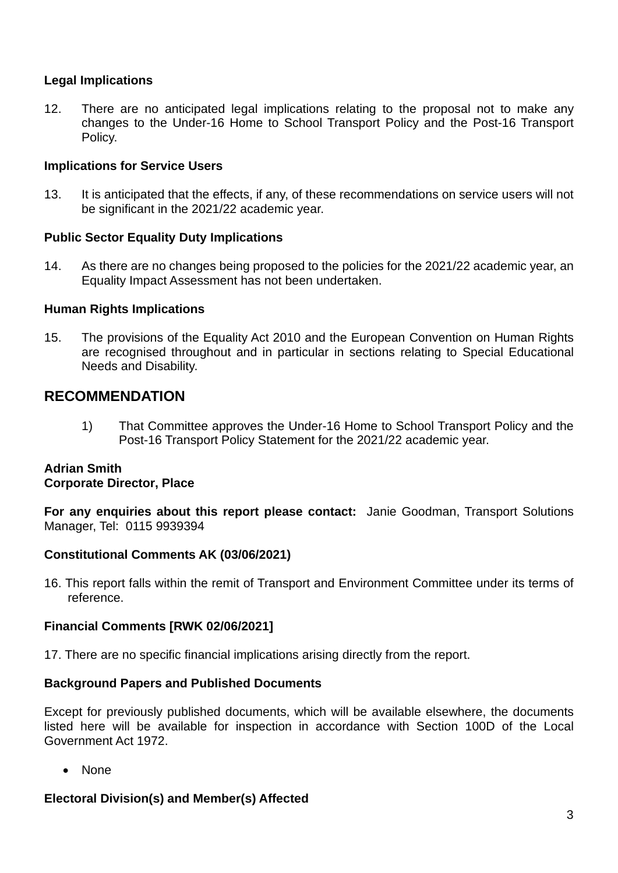### **Legal Implications**

12. There are no anticipated legal implications relating to the proposal not to make any changes to the Under-16 Home to School Transport Policy and the Post-16 Transport Policy.

#### **Implications for Service Users**

13. It is anticipated that the effects, if any, of these recommendations on service users will not be significant in the 2021/22 academic year.

#### **Public Sector Equality Duty Implications**

14. As there are no changes being proposed to the policies for the 2021/22 academic year, an Equality Impact Assessment has not been undertaken.

#### **Human Rights Implications**

15. The provisions of the Equality Act 2010 and the European Convention on Human Rights are recognised throughout and in particular in sections relating to Special Educational Needs and Disability.

## **RECOMMENDATION**

1) That Committee approves the Under-16 Home to School Transport Policy and the Post-16 Transport Policy Statement for the 2021/22 academic year.

#### **Adrian Smith Corporate Director, Place**

**For any enquiries about this report please contact:** Janie Goodman, Transport Solutions Manager, Tel: 0115 9939394

### **Constitutional Comments AK (03/06/2021)**

16. This report falls within the remit of Transport and Environment Committee under its terms of reference.

### **Financial Comments [RWK 02/06/2021]**

17. There are no specific financial implications arising directly from the report.

#### **Background Papers and Published Documents**

Except for previously published documents, which will be available elsewhere, the documents listed here will be available for inspection in accordance with Section 100D of the Local Government Act 1972.

• None

### **Electoral Division(s) and Member(s) Affected**